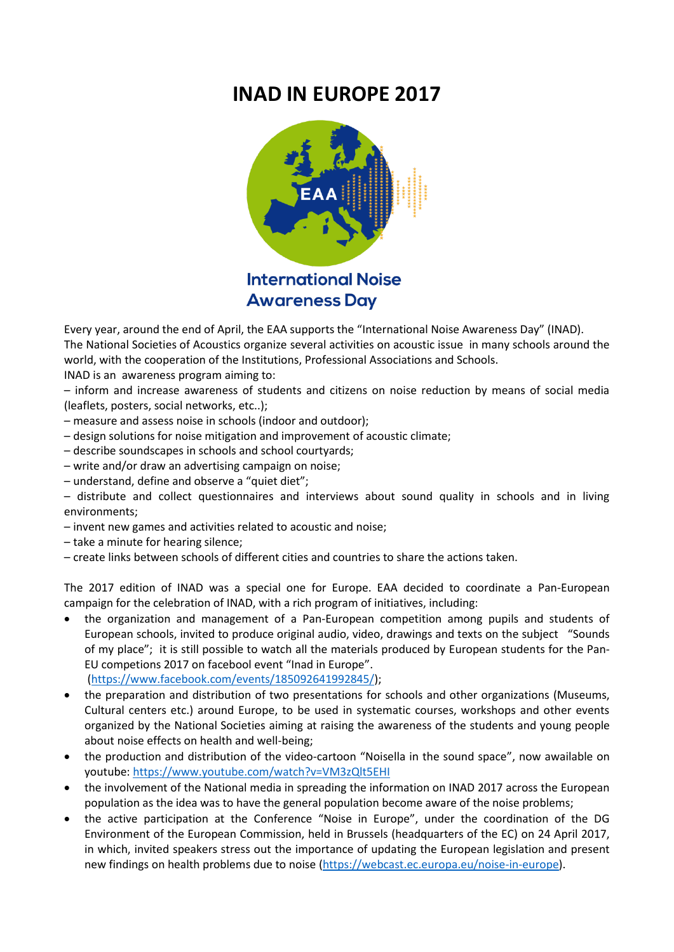## **INAD IN EUROPE 2017**



Every year, around the end of April, the EAA supports the "International Noise Awareness Day" (INAD). The National Societies of Acoustics organize several activities on acoustic issue in many schools around the world, with the cooperation of the Institutions, Professional Associations and Schools. INAD is an awareness program aiming to:

– inform and increase awareness of students and citizens on noise reduction by means of social media (leaflets, posters, social networks, etc..);

- measure and assess noise in schools (indoor and outdoor);
- design solutions for noise mitigation and improvement of acoustic climate;
- describe soundscapes in schools and school courtyards;
- write and/or draw an advertising campaign on noise;
- understand, define and observe a "quiet diet";

– distribute and collect questionnaires and interviews about sound quality in schools and in living environments;

- invent new games and activities related to acoustic and noise;
- take a minute for hearing silence;
- create links between schools of different cities and countries to share the actions taken.

The 2017 edition of INAD was a special one for Europe. EAA decided to coordinate a Pan-European campaign for the celebration of INAD, with a rich program of initiatives, including:

- the organization and management of a Pan-European competition among pupils and students of European schools, invited to produce original audio, video, drawings and texts on the subject "Sounds of my place"; it is still possible to watch all the materials produced by European students for the Pan-EU competions 2017 on facebool event "Inad in Europe".
	- [\(https://www.facebook.com/events/185092641992845/\)](https://www.facebook.com/events/185092641992845/);
- the preparation and distribution of two presentations for schools and other organizations (Museums, Cultural centers etc.) around Europe, to be used in systematic courses, workshops and other events organized by the National Societies aiming at raising the awareness of the students and young people about noise effects on health and well-being;
- the production and distribution of the video-cartoon "Noisella in the sound space", now awailable on youtube:<https://www.youtube.com/watch?v=VM3zQlt5EHI>
- the involvement of the National media in spreading the information on INAD 2017 across the European population as the idea was to have the general population become aware of the noise problems;
- the active participation at the Conference "Noise in Europe", under the coordination of the DG Environment of the European Commission, held in Brussels (headquarters of the EC) on 24 April 2017, in which, invited speakers stress out the importance of updating the European legislation and present new findings on health problems due to noise [\(https://webcast.ec.europa.eu/noise-in-europe\)](https://webcast.ec.europa.eu/noise-in-europe).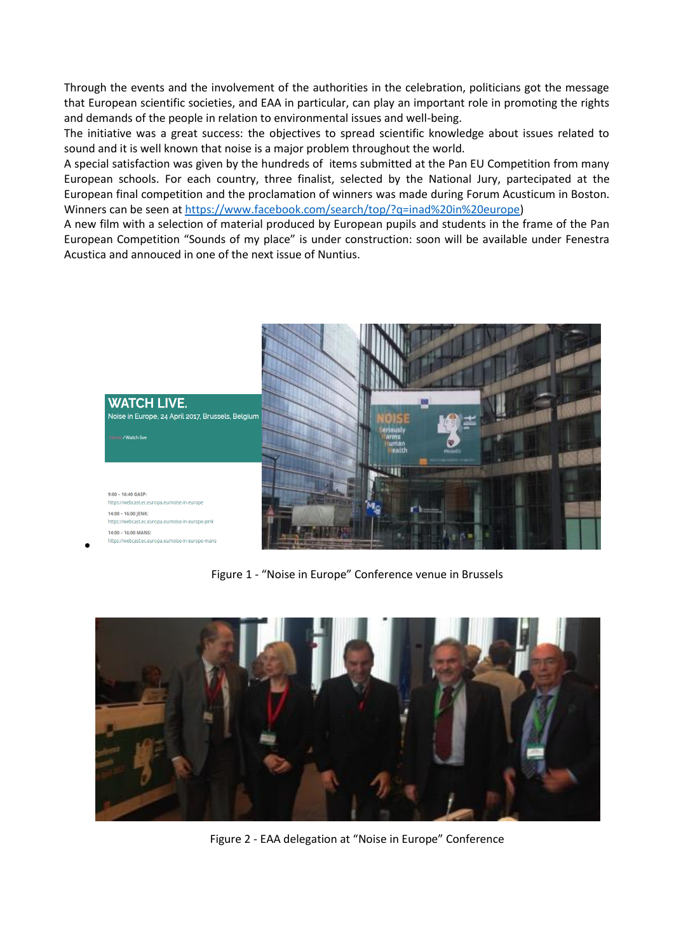Through the events and the involvement of the authorities in the celebration, politicians got the message that European scientific societies, and EAA in particular, can play an important role in promoting the rights and demands of the people in relation to environmental issues and well-being.

The initiative was a great success: the objectives to spread scientific knowledge about issues related to sound and it is well known that noise is a major problem throughout the world.

A special satisfaction was given by the hundreds of items submitted at the Pan EU Competition from many European schools. For each country, three finalist, selected by the National Jury, partecipated at the European final competition and the proclamation of winners was made during Forum Acusticum in Boston. Winners can be seen a[t https://www.facebook.com/search/top/?q=inad%20in%20europe\)](https://www.facebook.com/search/top/?q=inad%20in%20europe)

A new film with a selection of material produced by European pupils and students in the frame of the Pan European Competition "Sounds of my place" is under construction: soon will be available under Fenestra Acustica and annouced in one of the next issue of Nuntius.



Figure 1 - "Noise in Europe" Conference venue in Brussels



Figure 2 - EAA delegation at "Noise in Europe" Conference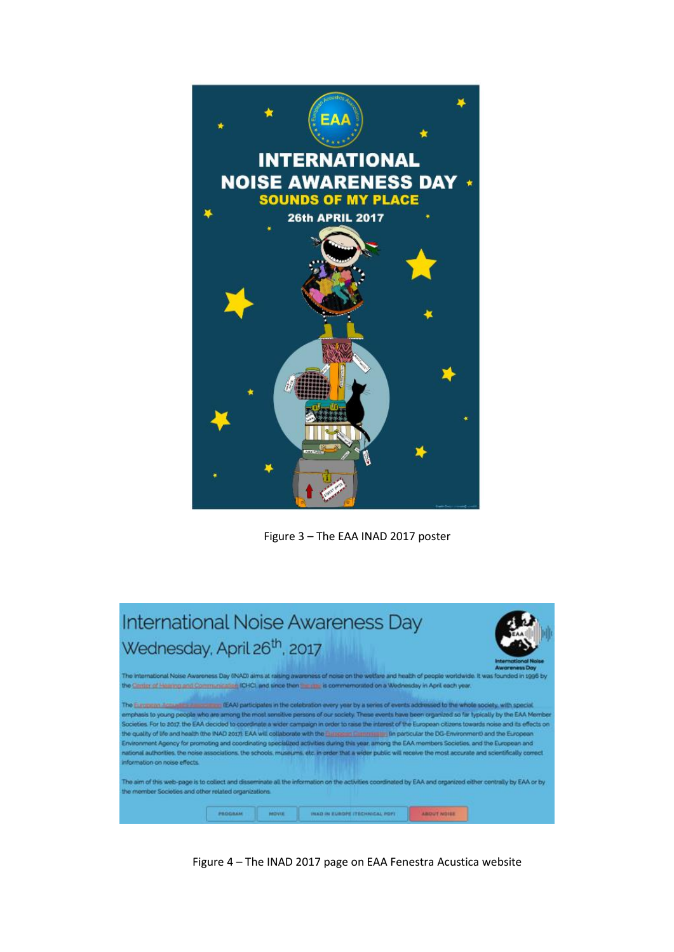

Figure 3 – The EAA INAD 2017 poster

| <b>International Noise Awareness Day</b>                                                                                                                                                                                                                                                                                                                                                                                                                                                                                                                                                                                                                                                                                                                                                                                                                                                                                                                                                        |  |  |  |  |
|-------------------------------------------------------------------------------------------------------------------------------------------------------------------------------------------------------------------------------------------------------------------------------------------------------------------------------------------------------------------------------------------------------------------------------------------------------------------------------------------------------------------------------------------------------------------------------------------------------------------------------------------------------------------------------------------------------------------------------------------------------------------------------------------------------------------------------------------------------------------------------------------------------------------------------------------------------------------------------------------------|--|--|--|--|
| Wednesday, April 26 <sup>th</sup> , 2017<br><b>International Nake</b><br><b>Awareness Day</b>                                                                                                                                                                                                                                                                                                                                                                                                                                                                                                                                                                                                                                                                                                                                                                                                                                                                                                   |  |  |  |  |
| The International Noise Awareness Day (INAD) aims at raising awareness of noise on the welfare and health of people worldwide. It was founded in 1996 by<br>the Center of Hearing and Communication (CHC) and since then the ran is commemorated on a Wednesday in April each year.                                                                                                                                                                                                                                                                                                                                                                                                                                                                                                                                                                                                                                                                                                             |  |  |  |  |
| The European Accurates Association (EAA) participates in the celebration every year by a series of events addressed to the whole society, with special<br>emphasis to young people who are among the most sensitive persons of our society. These events have been organized so far typically by the EAA Member<br>Societies. For to 2017, the EAA decided to coordinate a wider campaign in order to raise the interest of the European citizens towards noise and its effects on<br>the quality of life and health the INAD 2017). EAA will collaborate with the European Currents in particular the DG-Environment) and the European<br>Environment Agency for promoting and coordinating specialized activities during this year, among the EAA members Societies, and the European and<br>national authorities, the noise associations, the schools, museums, etc. in order that a wider public will receive the most accurate and scientifically correct<br>information on noise effects. |  |  |  |  |
| The aim of this web-page is to collect and disseminate all the information on the activities coordinated by EAA and organized either centrally by EAA or by<br>the member Societies and other related organizations.                                                                                                                                                                                                                                                                                                                                                                                                                                                                                                                                                                                                                                                                                                                                                                            |  |  |  |  |
| INAD IN EUROPE ITECHNICAL PDFI<br>PROGRAM<br><b>MOVUE</b><br><b>ABOUT NOISE</b>                                                                                                                                                                                                                                                                                                                                                                                                                                                                                                                                                                                                                                                                                                                                                                                                                                                                                                                 |  |  |  |  |

Figure 4 – The INAD 2017 page on EAA Fenestra Acustica website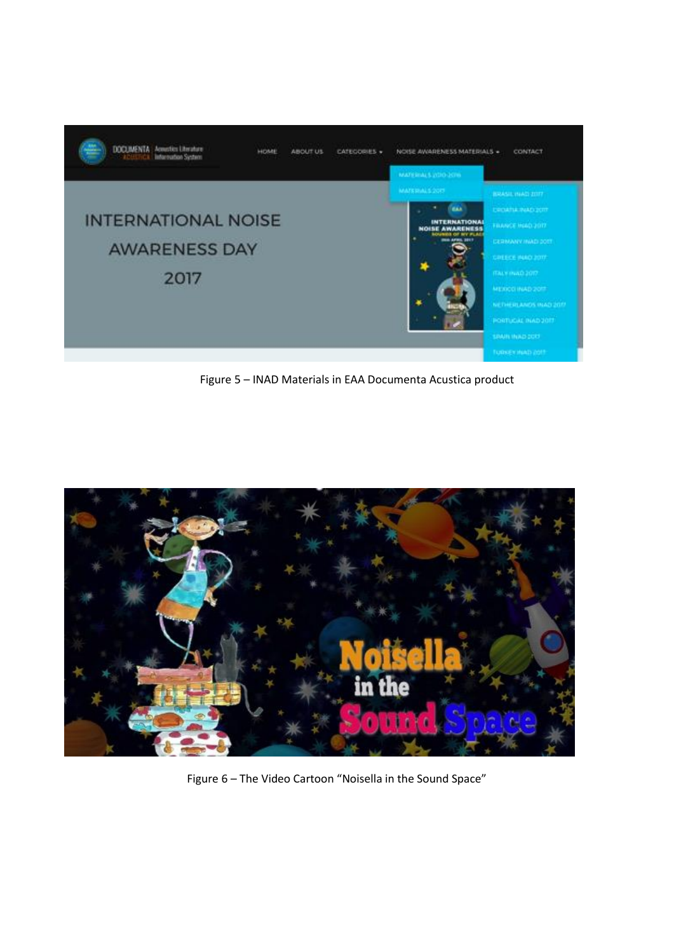

Figure 5 – INAD Materials in EAA Documenta Acustica product



Figure 6 – The Video Cartoon "Noisella in the Sound Space"